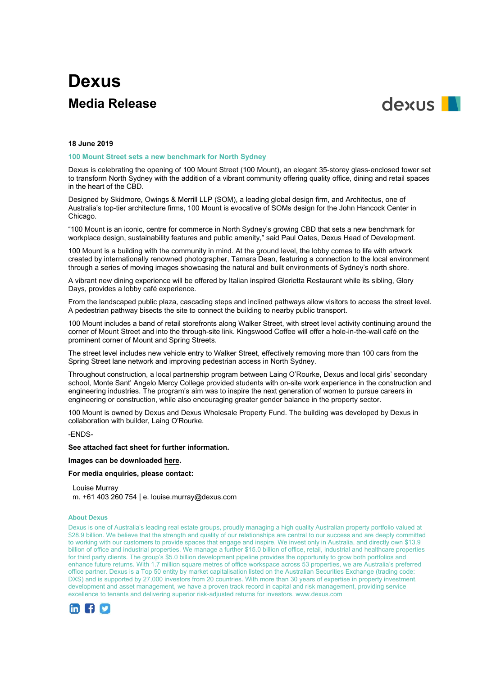# **Dexus Media Release**



## **18 June 2019**

### **100 Mount Street sets a new benchmark for North Sydney**

Dexus is celebrating the opening of 100 Mount Street (100 Mount), an elegant 35-storey glass-enclosed tower set to transform North Sydney with the addition of a vibrant community offering quality office, dining and retail spaces in the heart of the CBD.

Designed by Skidmore, Owings & Merrill LLP (SOM), a leading global design firm, and Architectus, one of Australia's top-tier architecture firms, 100 Mount is evocative of SOMs design for the John Hancock Center in Chicago.

"100 Mount is an iconic, centre for commerce in North Sydney's growing CBD that sets a new benchmark for workplace design, sustainability features and public amenity," said Paul Oates, Dexus Head of Development.

100 Mount is a building with the community in mind. At the ground level, the lobby comes to life with artwork created by internationally renowned photographer, Tamara Dean, featuring a connection to the local environment through a series of moving images showcasing the natural and built environments of Sydney's north shore.

A vibrant new dining experience will be offered by Italian inspired Glorietta Restaurant while its sibling, Glory Days, provides a lobby café experience.

From the landscaped public plaza, cascading steps and inclined pathways allow visitors to access the street level. A pedestrian pathway bisects the site to connect the building to nearby public transport.

100 Mount includes a band of retail storefronts along Walker Street, with street level activity continuing around the corner of Mount Street and into the through-site link. Kingswood Coffee will offer a hole-in-the-wall café on the prominent corner of Mount and Spring Streets.

The street level includes new vehicle entry to Walker Street, effectively removing more than 100 cars from the Spring Street lane network and improving pedestrian access in North Sydney.

Throughout construction, a local partnership program between Laing O'Rourke, Dexus and local girls' secondary school, Monte Sant' Angelo Mercy College provided students with on-site work experience in the construction and engineering industries. The program's aim was to inspire the next generation of women to pursue careers in engineering or construction, while also encouraging greater gender balance in the property sector.

100 Mount is owned by Dexus and Dexus Wholesale Property Fund. The building was developed by Dexus in collaboration with builder, Laing O'Rourke.

## -ENDS-

# **See attached fact sheet for further information.**

## **Images can be downloade[d here.](https://aus01.safelinks.protection.outlook.com/?url=https%3A%2F%2Fwww.dropbox.com%2Fsh%2Fhxqlswrqn9rlrri%2FAAALs9qmNObJHJg8QaC_n6Rca%3Fdl%3D0&data=02%7C01%7C%7C78a8fa49d38b440b0c1b08d6e8a69e7d%7Cff21a48fd7e34aa2a597138278d4b6cd%7C0%7C0%7C636952199653407128&sdata=xUnBJIDR%2FLQfAvc8TGu1ysmhxFodFTbxmEyG1eULYGI%3D&reserved=0)**

## **For media enquiries, please contact:**

Louise Murray m. +61 403 260 754 | e. louise.murray@dexus.com

#### **About Dexus**

Dexus is one of Australia's leading real estate groups, proudly managing a high quality Australian property portfolio valued at \$28.9 billion. We believe that the strength and quality of our relationships are central to our success and are deeply committed to working with our customers to provide spaces that engage and inspire. We invest only in Australia, and directly own \$13.9 billion of office and industrial properties. We manage a further \$15.0 billion of office, retail, industrial and healthcare properties for third party clients. The group's \$5.0 billion development pipeline provides the opportunity to grow both portfolios and enhance future returns. With 1.7 million square metres of office workspace across 53 properties, we are Australia's preferred office partner. Dexus is a Top 50 entity by market capitalisation listed on the Australian Securities Exchange (trading code: DXS) and is supported by 27,000 investors from 20 countries. With more than 30 years of expertise in property investment, development and asset management, we have a proven track record in capital and risk management, providing service excellence to tenants and delivering superior risk-adjusted returns for investors. www.dexus.com